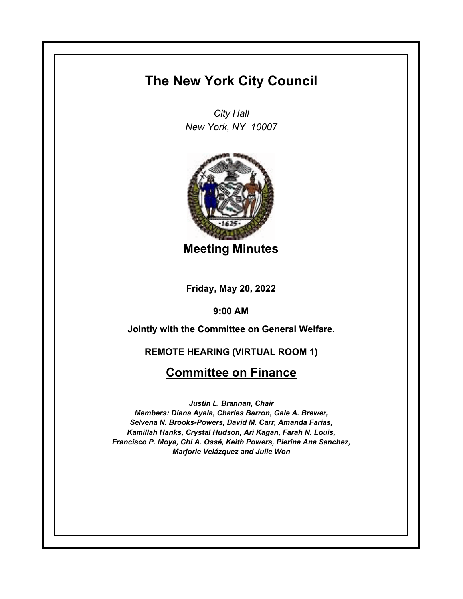## **The New York City Council**

*City Hall New York, NY 10007*



**Meeting Minutes**

**Friday, May 20, 2022**

**9:00 AM**

**Jointly with the Committee on General Welfare.**

**REMOTE HEARING (VIRTUAL ROOM 1)**

## **Committee on Finance**

*Justin L. Brannan, Chair Members: Diana Ayala, Charles Barron, Gale A. Brewer, Selvena N. Brooks-Powers, David M. Carr, Amanda Farias, Kamillah Hanks, Crystal Hudson, Ari Kagan, Farah N. Louis, Francisco P. Moya, Chi A. Ossé, Keith Powers, Pierina Ana Sanchez, Marjorie Velázquez and Julie Won*